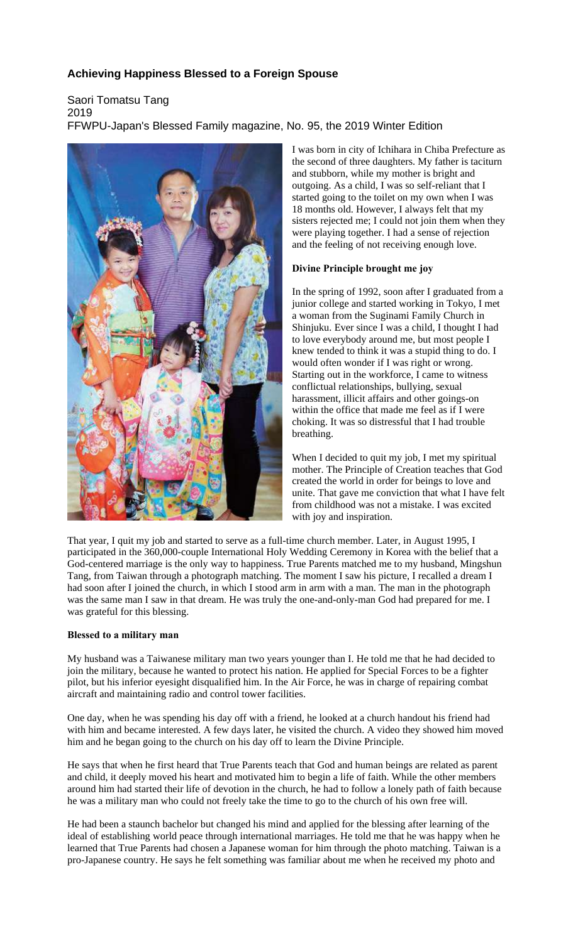# **Achieving Happiness Blessed to a Foreign Spouse**

# Saori Tomatsu Tang 2019 FFWPU-Japan's Blessed Family magazine, No. 95, the 2019 Winter Edition



I was born in city of Ichihara in Chiba Prefecture as the second of three daughters. My father is taciturn and stubborn, while my mother is bright and outgoing. As a child, I was so self-reliant that I started going to the toilet on my own when I was 18 months old. However, I always felt that my sisters rejected me; I could not join them when they were playing together. I had a sense of rejection and the feeling of not receiving enough love.

## **Divine Principle brought me joy**

In the spring of 1992, soon after I graduated from a junior college and started working in Tokyo, I met a woman from the Suginami Family Church in Shinjuku. Ever since I was a child, I thought I had to love everybody around me, but most people I knew tended to think it was a stupid thing to do. I would often wonder if I was right or wrong. Starting out in the workforce, I came to witness conflictual relationships, bullying, sexual harassment, illicit affairs and other goings-on within the office that made me feel as if I were choking. It was so distressful that I had trouble breathing.

When I decided to quit my job, I met my spiritual mother. The Principle of Creation teaches that God created the world in order for beings to love and unite. That gave me conviction that what I have felt from childhood was not a mistake. I was excited with joy and inspiration.

That year, I quit my job and started to serve as a full-time church member. Later, in August 1995, I participated in the 360,000-couple International Holy Wedding Ceremony in Korea with the belief that a God-centered marriage is the only way to happiness. True Parents matched me to my husband, Mingshun Tang, from Taiwan through a photograph matching. The moment I saw his picture, I recalled a dream I had soon after I joined the church, in which I stood arm in arm with a man. The man in the photograph was the same man I saw in that dream. He was truly the one-and-only-man God had prepared for me. I was grateful for this blessing.

## **Blessed to a military man**

My husband was a Taiwanese military man two years younger than I. He told me that he had decided to join the military, because he wanted to protect his nation. He applied for Special Forces to be a fighter pilot, but his inferior eyesight disqualified him. In the Air Force, he was in charge of repairing combat aircraft and maintaining radio and control tower facilities.

One day, when he was spending his day off with a friend, he looked at a church handout his friend had with him and became interested. A few days later, he visited the church. A video they showed him moved him and he began going to the church on his day off to learn the Divine Principle.

He says that when he first heard that True Parents teach that God and human beings are related as parent and child, it deeply moved his heart and motivated him to begin a life of faith. While the other members around him had started their life of devotion in the church, he had to follow a lonely path of faith because he was a military man who could not freely take the time to go to the church of his own free will.

He had been a staunch bachelor but changed his mind and applied for the blessing after learning of the ideal of establishing world peace through international marriages. He told me that he was happy when he learned that True Parents had chosen a Japanese woman for him through the photo matching. Taiwan is a pro-Japanese country. He says he felt something was familiar about me when he received my photo and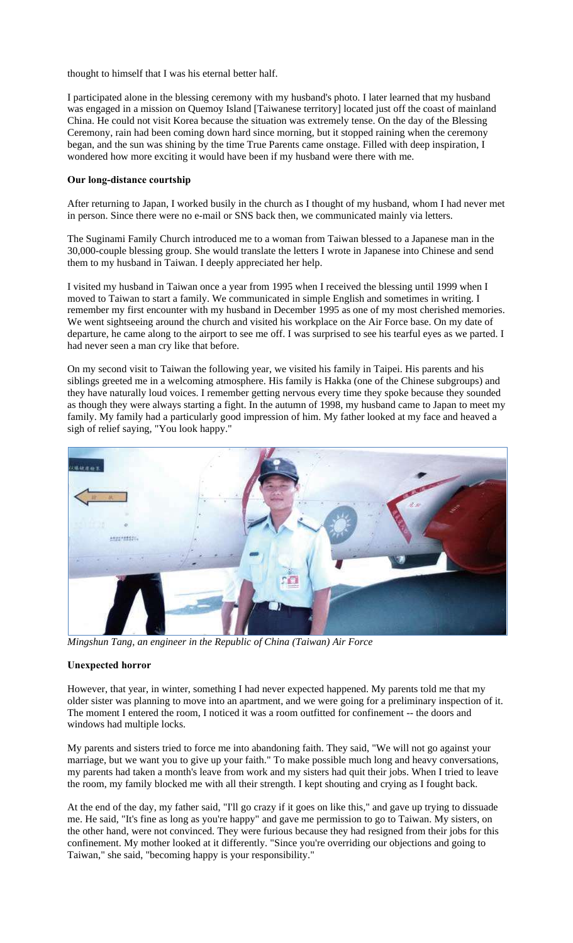thought to himself that I was his eternal better half.

I participated alone in the blessing ceremony with my husband's photo. I later learned that my husband was engaged in a mission on Quemoy Island [Taiwanese territory] located just off the coast of mainland China. He could not visit Korea because the situation was extremely tense. On the day of the Blessing Ceremony, rain had been coming down hard since morning, but it stopped raining when the ceremony began, and the sun was shining by the time True Parents came onstage. Filled with deep inspiration, I wondered how more exciting it would have been if my husband were there with me.

### **Our long-distance courtship**

After returning to Japan, I worked busily in the church as I thought of my husband, whom I had never met in person. Since there were no e-mail or SNS back then, we communicated mainly via letters.

The Suginami Family Church introduced me to a woman from Taiwan blessed to a Japanese man in the 30,000-couple blessing group. She would translate the letters I wrote in Japanese into Chinese and send them to my husband in Taiwan. I deeply appreciated her help.

I visited my husband in Taiwan once a year from 1995 when I received the blessing until 1999 when I moved to Taiwan to start a family. We communicated in simple English and sometimes in writing. I remember my first encounter with my husband in December 1995 as one of my most cherished memories. We went sightseeing around the church and visited his workplace on the Air Force base. On my date of departure, he came along to the airport to see me off. I was surprised to see his tearful eyes as we parted. I had never seen a man cry like that before.

On my second visit to Taiwan the following year, we visited his family in Taipei. His parents and his siblings greeted me in a welcoming atmosphere. His family is Hakka (one of the Chinese subgroups) and they have naturally loud voices. I remember getting nervous every time they spoke because they sounded as though they were always starting a fight. In the autumn of 1998, my husband came to Japan to meet my family. My family had a particularly good impression of him. My father looked at my face and heaved a sigh of relief saying, "You look happy."



*Mingshun Tang, an engineer in the Republic of China (Taiwan) Air Force*

#### **Unexpected horror**

However, that year, in winter, something I had never expected happened. My parents told me that my older sister was planning to move into an apartment, and we were going for a preliminary inspection of it. The moment I entered the room, I noticed it was a room outfitted for confinement -- the doors and windows had multiple locks.

My parents and sisters tried to force me into abandoning faith. They said, "We will not go against your marriage, but we want you to give up your faith." To make possible much long and heavy conversations, my parents had taken a month's leave from work and my sisters had quit their jobs. When I tried to leave the room, my family blocked me with all their strength. I kept shouting and crying as I fought back.

At the end of the day, my father said, "I'll go crazy if it goes on like this," and gave up trying to dissuade me. He said, "It's fine as long as you're happy" and gave me permission to go to Taiwan. My sisters, on the other hand, were not convinced. They were furious because they had resigned from their jobs for this confinement. My mother looked at it differently. "Since you're overriding our objections and going to Taiwan," she said, "becoming happy is your responsibility."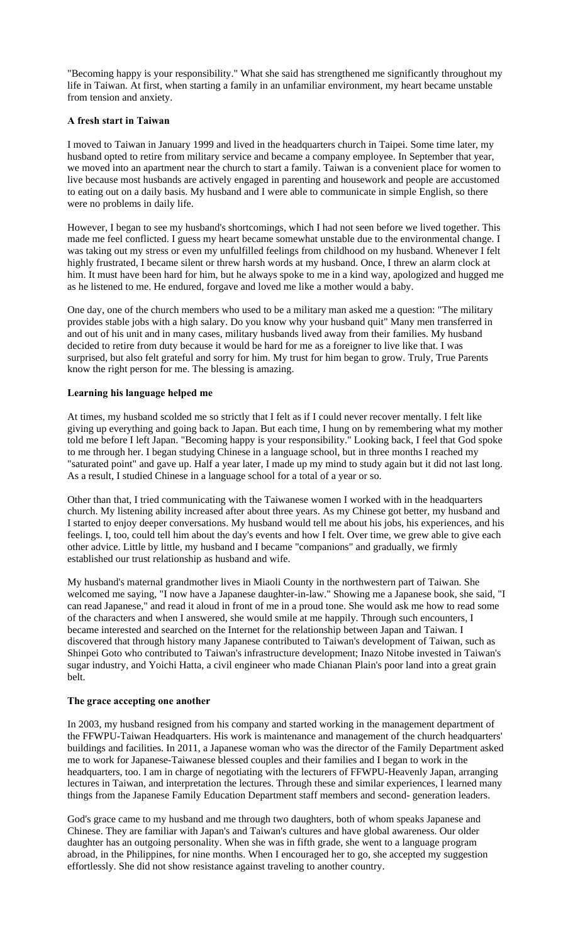"Becoming happy is your responsibility." What she said has strengthened me significantly throughout my life in Taiwan. At first, when starting a family in an unfamiliar environment, my heart became unstable from tension and anxiety.

## **A fresh start in Taiwan**

I moved to Taiwan in January 1999 and lived in the headquarters church in Taipei. Some time later, my husband opted to retire from military service and became a company employee. In September that year, we moved into an apartment near the church to start a family. Taiwan is a convenient place for women to live because most husbands are actively engaged in parenting and housework and people are accustomed to eating out on a daily basis. My husband and I were able to communicate in simple English, so there were no problems in daily life.

However, I began to see my husband's shortcomings, which I had not seen before we lived together. This made me feel conflicted. I guess my heart became somewhat unstable due to the environmental change. I was taking out my stress or even my unfulfilled feelings from childhood on my husband. Whenever I felt highly frustrated, I became silent or threw harsh words at my husband. Once, I threw an alarm clock at him. It must have been hard for him, but he always spoke to me in a kind way, apologized and hugged me as he listened to me. He endured, forgave and loved me like a mother would a baby.

One day, one of the church members who used to be a military man asked me a question: "The military provides stable jobs with a high salary. Do you know why your husband quit" Many men transferred in and out of his unit and in many cases, military husbands lived away from their families. My husband decided to retire from duty because it would be hard for me as a foreigner to live like that. I was surprised, but also felt grateful and sorry for him. My trust for him began to grow. Truly, True Parents know the right person for me. The blessing is amazing.

#### **Learning his language helped me**

At times, my husband scolded me so strictly that I felt as if I could never recover mentally. I felt like giving up everything and going back to Japan. But each time, I hung on by remembering what my mother told me before I left Japan. "Becoming happy is your responsibility." Looking back, I feel that God spoke to me through her. I began studying Chinese in a language school, but in three months I reached my "saturated point" and gave up. Half a year later, I made up my mind to study again but it did not last long. As a result, I studied Chinese in a language school for a total of a year or so.

Other than that, I tried communicating with the Taiwanese women I worked with in the headquarters church. My listening ability increased after about three years. As my Chinese got better, my husband and I started to enjoy deeper conversations. My husband would tell me about his jobs, his experiences, and his feelings. I, too, could tell him about the day's events and how I felt. Over time, we grew able to give each other advice. Little by little, my husband and I became "companions" and gradually, we firmly established our trust relationship as husband and wife.

My husband's maternal grandmother lives in Miaoli County in the northwestern part of Taiwan. She welcomed me saying, "I now have a Japanese daughter-in-law." Showing me a Japanese book, she said, "I can read Japanese," and read it aloud in front of me in a proud tone. She would ask me how to read some of the characters and when I answered, she would smile at me happily. Through such encounters, I became interested and searched on the Internet for the relationship between Japan and Taiwan. I discovered that through history many Japanese contributed to Taiwan's development of Taiwan, such as Shinpei Goto who contributed to Taiwan's infrastructure development; Inazo Nitobe invested in Taiwan's sugar industry, and Yoichi Hatta, a civil engineer who made Chianan Plain's poor land into a great grain belt.

#### **The grace accepting one another**

In 2003, my husband resigned from his company and started working in the management department of the FFWPU-Taiwan Headquarters. His work is maintenance and management of the church headquarters' buildings and facilities. In 2011, a Japanese woman who was the director of the Family Department asked me to work for Japanese-Taiwanese blessed couples and their families and I began to work in the headquarters, too. I am in charge of negotiating with the lecturers of FFWPU-Heavenly Japan, arranging lectures in Taiwan, and interpretation the lectures. Through these and similar experiences, I learned many things from the Japanese Family Education Department staff members and second- generation leaders.

God's grace came to my husband and me through two daughters, both of whom speaks Japanese and Chinese. They are familiar with Japan's and Taiwan's cultures and have global awareness. Our older daughter has an outgoing personality. When she was in fifth grade, she went to a language program abroad, in the Philippines, for nine months. When I encouraged her to go, she accepted my suggestion effortlessly. She did not show resistance against traveling to another country.